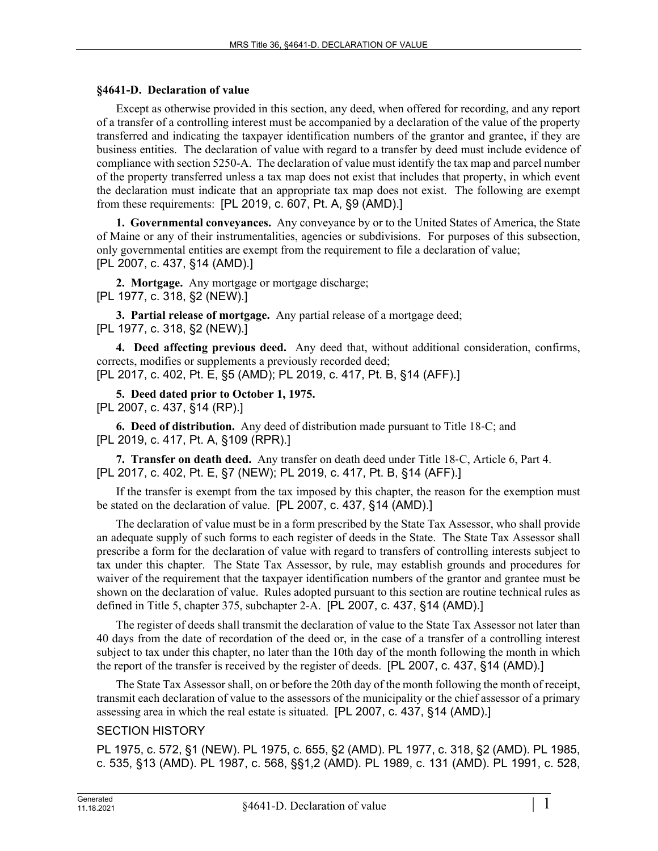## **§4641-D. Declaration of value**

Except as otherwise provided in this section, any deed, when offered for recording, and any report of a transfer of a controlling interest must be accompanied by a declaration of the value of the property transferred and indicating the taxpayer identification numbers of the grantor and grantee, if they are business entities. The declaration of value with regard to a transfer by deed must include evidence of compliance with section 5250-A. The declaration of value must identify the tax map and parcel number of the property transferred unless a tax map does not exist that includes that property, in which event the declaration must indicate that an appropriate tax map does not exist. The following are exempt from these requirements: [PL 2019, c. 607, Pt. A, §9 (AMD).]

**1. Governmental conveyances.** Any conveyance by or to the United States of America, the State of Maine or any of their instrumentalities, agencies or subdivisions. For purposes of this subsection, only governmental entities are exempt from the requirement to file a declaration of value; [PL 2007, c. 437, §14 (AMD).]

**2. Mortgage.** Any mortgage or mortgage discharge; [PL 1977, c. 318, §2 (NEW).]

**3. Partial release of mortgage.** Any partial release of a mortgage deed; [PL 1977, c. 318, §2 (NEW).]

**4. Deed affecting previous deed.** Any deed that, without additional consideration, confirms, corrects, modifies or supplements a previously recorded deed; [PL 2017, c. 402, Pt. E, §5 (AMD); PL 2019, c. 417, Pt. B, §14 (AFF).]

**5. Deed dated prior to October 1, 1975.**  [PL 2007, c. 437, §14 (RP).]

**6. Deed of distribution.** Any deed of distribution made pursuant to Title 18‑C; and [PL 2019, c. 417, Pt. A, §109 (RPR).]

**7. Transfer on death deed.** Any transfer on death deed under Title 18‑C, Article 6, Part 4. [PL 2017, c. 402, Pt. E, §7 (NEW); PL 2019, c. 417, Pt. B, §14 (AFF).]

If the transfer is exempt from the tax imposed by this chapter, the reason for the exemption must be stated on the declaration of value. [PL 2007, c. 437, §14 (AMD).]

The declaration of value must be in a form prescribed by the State Tax Assessor, who shall provide an adequate supply of such forms to each register of deeds in the State. The State Tax Assessor shall prescribe a form for the declaration of value with regard to transfers of controlling interests subject to tax under this chapter. The State Tax Assessor, by rule, may establish grounds and procedures for waiver of the requirement that the taxpayer identification numbers of the grantor and grantee must be shown on the declaration of value. Rules adopted pursuant to this section are routine technical rules as defined in Title 5, chapter 375, subchapter 2-A. [PL 2007, c. 437, §14 (AMD).]

The register of deeds shall transmit the declaration of value to the State Tax Assessor not later than 40 days from the date of recordation of the deed or, in the case of a transfer of a controlling interest subject to tax under this chapter, no later than the 10th day of the month following the month in which the report of the transfer is received by the register of deeds. [PL 2007, c. 437, §14 (AMD).]

The State Tax Assessor shall, on or before the 20th day of the month following the month of receipt, transmit each declaration of value to the assessors of the municipality or the chief assessor of a primary assessing area in which the real estate is situated. [PL 2007, c. 437, §14 (AMD).]

## SECTION HISTORY

PL 1975, c. 572, §1 (NEW). PL 1975, c. 655, §2 (AMD). PL 1977, c. 318, §2 (AMD). PL 1985, c. 535, §13 (AMD). PL 1987, c. 568, §§1,2 (AMD). PL 1989, c. 131 (AMD). PL 1991, c. 528,